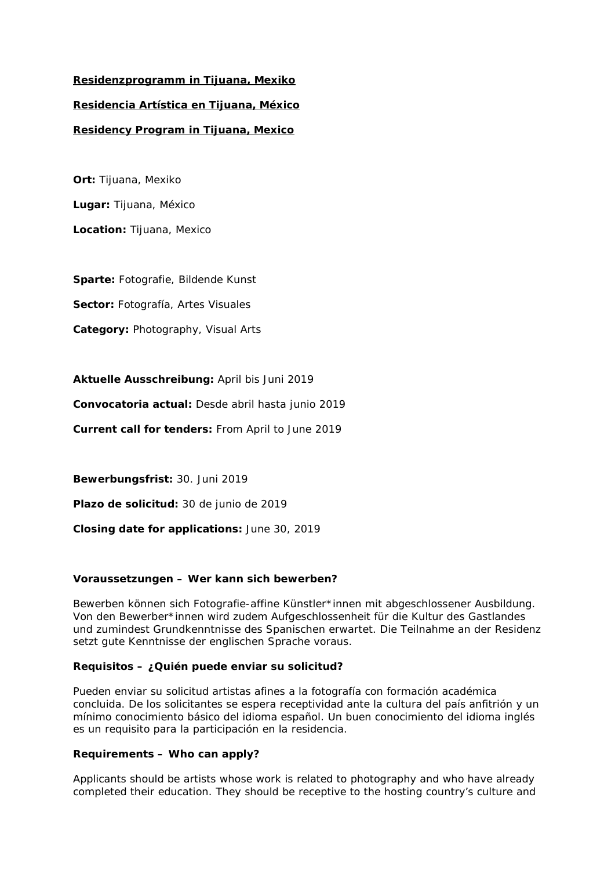# **Residenzprogramm in Tijuana, Mexiko Residencia Artística en Tijuana, México Residency Program in Tijuana, Mexico**

**Ort:** Tijuana, Mexiko **Lugar:** Tijuana, México **Location:** Tijuana, Mexico

**Sparte:** Fotografie, Bildende Kunst

**Sector:** Fotografía, Artes Visuales

**Category:** Photography, Visual Arts

**Aktuelle Ausschreibung:** April bis Juni 2019

**Convocatoria actual:** Desde abril hasta junio 2019

**Current call for tenders:** From April to June 2019

**Bewerbungsfrist:** 30. Juni 2019 **Plazo de solicitud:** 30 de junio de 2019 **Closing date for applications:** June 30, 2019

## **Voraussetzungen – Wer kann sich bewerben?**

Bewerben können sich Fotografie-affine Künstler\*innen mit abgeschlossener Ausbildung. Von den Bewerber\*innen wird zudem Aufgeschlossenheit für die Kultur des Gastlandes und zumindest Grundkenntnisse des Spanischen erwartet. Die Teilnahme an der Residenz setzt gute Kenntnisse der englischen Sprache voraus.

## **Requisitos – ¿Quién puede enviar su solicitud?**

Pueden enviar su solicitud artistas afines a la fotografía con formación académica concluida. De los solicitantes se espera receptividad ante la cultura del país anfitrión y un mínimo conocimiento básico del idioma español. Un buen conocimiento del idioma inglés es un requisito para la participación en la residencia.

## **Requirements – Who can apply?**

Applicants should be artists whose work is related to photography and who have already completed their education. They should be receptive to the hosting country's culture and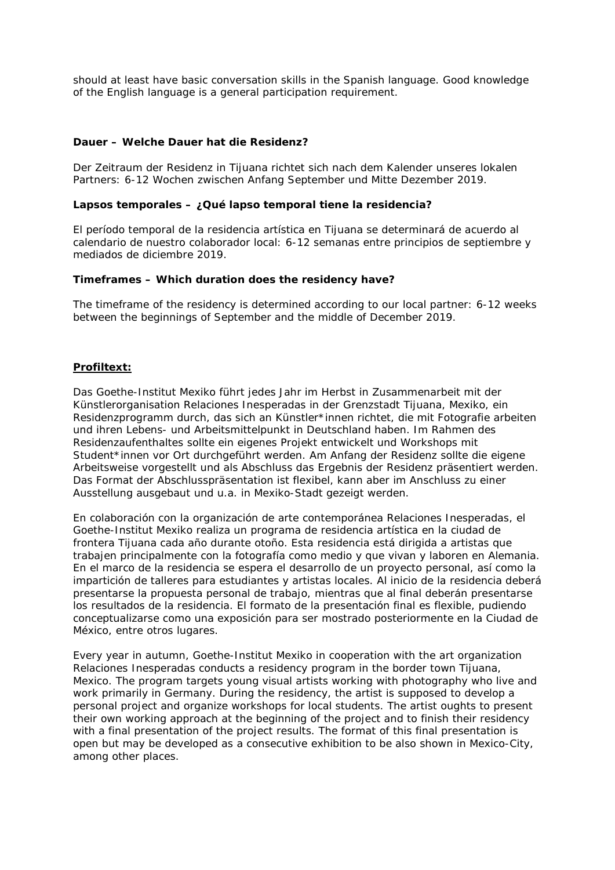should at least have basic conversation skills in the Spanish language. Good knowledge of the English language is a general participation requirement.

## **Dauer – Welche Dauer hat die Residenz?**

Der Zeitraum der Residenz in Tijuana richtet sich nach dem Kalender unseres lokalen Partners: 6-12 Wochen zwischen Anfang September und Mitte Dezember 2019.

#### **Lapsos temporales – ¿Qué lapso temporal tiene la residencia?**

El período temporal de la residencia artística en Tijuana se determinará de acuerdo al calendario de nuestro colaborador local: 6-12 semanas entre principios de septiembre y mediados de diciembre 2019.

## **Timeframes – Which duration does the residency have?**

The timeframe of the residency is determined according to our local partner: 6-12 weeks between the beginnings of September and the middle of December 2019.

## **Profiltext:**

Das Goethe-Institut Mexiko führt jedes Jahr im Herbst in Zusammenarbeit mit der Künstlerorganisation *Relaciones Inesperadas* in der Grenzstadt Tijuana, Mexiko, ein Residenzprogramm durch, das sich an Künstler\*innen richtet, die mit Fotografie arbeiten und ihren Lebens- und Arbeitsmittelpunkt in Deutschland haben. Im Rahmen des Residenzaufenthaltes sollte ein eigenes Projekt entwickelt und Workshops mit Student\*innen vor Ort durchgeführt werden. Am Anfang der Residenz sollte die eigene Arbeitsweise vorgestellt und als Abschluss das Ergebnis der Residenz präsentiert werden. Das Format der Abschlusspräsentation ist flexibel, kann aber im Anschluss zu einer Ausstellung ausgebaut und u.a. in Mexiko-Stadt gezeigt werden.

En colaboración con la organización de arte contemporánea *Relaciones Inesperadas*, el Goethe-Institut Mexiko realiza un programa de residencia artística en la ciudad de frontera Tijuana cada año durante otoño. Esta residencia está dirigida a artistas que trabajen principalmente con la fotografía como medio y que vivan y laboren en Alemania. En el marco de la residencia se espera el desarrollo de un proyecto personal, así como la impartición de talleres para estudiantes y artistas locales. Al inicio de la residencia deberá presentarse la propuesta personal de trabajo, mientras que al final deberán presentarse los resultados de la residencia. El formato de la presentación final es flexible, pudiendo conceptualizarse como una exposición para ser mostrado posteriormente en la Ciudad de México, entre otros lugares.

Every year in autumn, Goethe-Institut Mexiko in cooperation with the art organization *Relaciones Inesperadas* conducts a residency program in the border town Tijuana, Mexico. The program targets young visual artists working with photography who live and work primarily in Germany. During the residency, the artist is supposed to develop a personal project and organize workshops for local students. The artist oughts to present their own working approach at the beginning of the project and to finish their residency with a final presentation of the project results. The format of this final presentation is open but may be developed as a consecutive exhibition to be also shown in Mexico-City, among other places.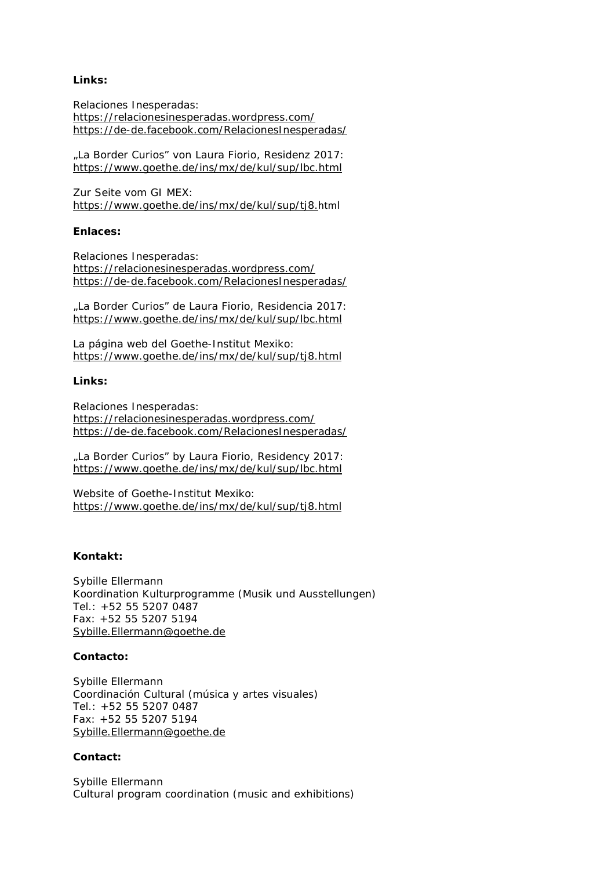## **Links:**

Relaciones Inesperadas: <https://relacionesinesperadas.wordpress.com/> <https://de-de.facebook.com/RelacionesInesperadas/>

"La Border Curios" von Laura Fiorio, Residenz 2017: <https://www.goethe.de/ins/mx/de/kul/sup/lbc.html>

Zur Seite vom GI MEX: [https://www.goethe.de/ins/mx/de/kul/sup/tj8.](https://www.goethe.de/ins/mx/de/kul/sup/tj8.html)html

#### **Enlaces:**

Relaciones Inesperadas: <https://relacionesinesperadas.wordpress.com/> <https://de-de.facebook.com/RelacionesInesperadas/>

"La Border Curios" de Laura Fiorio, Residencia 2017: <https://www.goethe.de/ins/mx/de/kul/sup/lbc.html>

La página web del Goethe-Institut Mexiko: <https://www.goethe.de/ins/mx/de/kul/sup/tj8.html>

#### **Links:**

Relaciones Inesperadas: <https://relacionesinesperadas.wordpress.com/> <https://de-de.facebook.com/RelacionesInesperadas/>

"La Border Curios" by Laura Fiorio, Residency 2017: <https://www.goethe.de/ins/mx/de/kul/sup/lbc.html>

Website of Goethe-Institut Mexiko: <https://www.goethe.de/ins/mx/de/kul/sup/tj8.html>

## **Kontakt:**

Sybille Ellermann Koordination Kulturprogramme (Musik und Ausstellungen) Tel.: +52 55 5207 0487 Fax: +52 55 5207 5194 [Sybille.Ellermann@goethe.de](mailto:Sybille.Ellermann@goethe.de)

#### **Contacto:**

Sybille Ellermann Coordinación Cultural (música y artes visuales) Tel.: +52 55 5207 0487 Fax: +52 55 5207 5194 [Sybille.Ellermann@goethe.de](mailto:Sybille.Ellermann@goethe.de)

#### **Contact:**

Sybille Ellermann Cultural program coordination (music and exhibitions)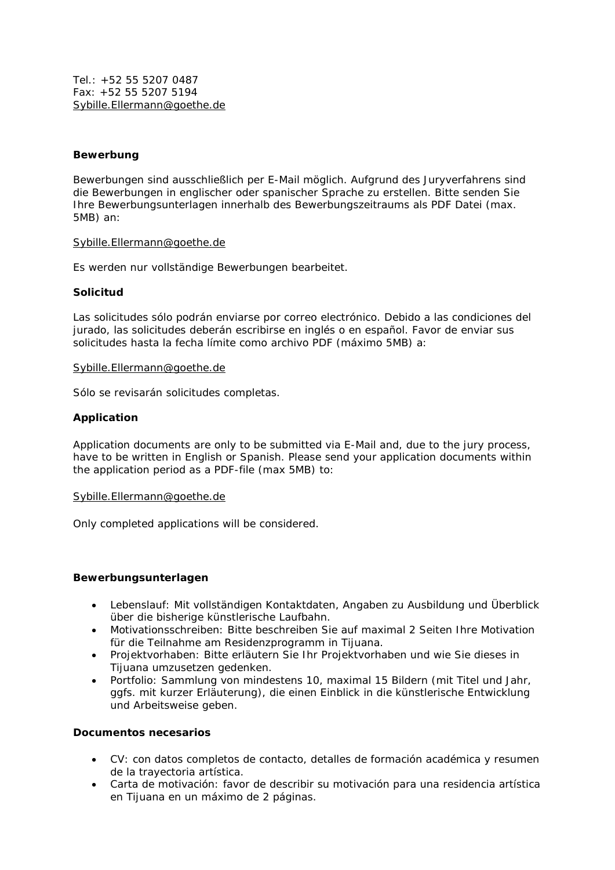Tel.: +52 55 5207 0487 Fax: +52 55 5207 5194 [Sybille.Ellermann@goethe.de](mailto:Sybille.Ellermann@goethe.de)

## **Bewerbung**

Bewerbungen sind ausschließlich per E-Mail möglich. Aufgrund des Juryverfahrens sind die Bewerbungen in englischer oder spanischer Sprache zu erstellen. Bitte senden Sie Ihre Bewerbungsunterlagen innerhalb des Bewerbungszeitraums als PDF Datei (max. 5MB) an:

#### [Sybille.Ellermann@goethe.de](mailto:Sybille.Ellermann@goethe.de)

Es werden nur vollständige Bewerbungen bearbeitet.

## **Solicitud**

Las solicitudes sólo podrán enviarse por correo electrónico. Debido a las condiciones del jurado, las solicitudes deberán escribirse en inglés o en español. Favor de enviar sus solicitudes hasta la fecha límite como archivo PDF (máximo 5MB) a:

#### [Sybille.Ellermann@goethe.de](mailto:Sybille.Ellermann@goethe.de)

Sólo se revisarán solicitudes completas.

## **Application**

Application documents are only to be submitted via E-Mail and, due to the jury process, have to be written in English or Spanish. Please send your application documents within the application period as a PDF-file (max 5MB) to:

#### [Sybille.Ellermann@goethe.de](mailto:Sybille.Ellermann@goethe.de)

Only completed applications will be considered.

#### **Bewerbungsunterlagen**

- Lebenslauf: Mit vollständigen Kontaktdaten, Angaben zu Ausbildung und Überblick über die bisherige künstlerische Laufbahn.
- Motivationsschreiben: Bitte beschreiben Sie auf maximal 2 Seiten Ihre Motivation für die Teilnahme am Residenzprogramm in Tijuana.
- Projektvorhaben: Bitte erläutern Sie Ihr Projektvorhaben und wie Sie dieses in Tijuana umzusetzen gedenken.
- Portfolio: Sammlung von mindestens 10, maximal 15 Bildern (mit Titel und Jahr, ggfs. mit kurzer Erläuterung), die einen Einblick in die künstlerische Entwicklung und Arbeitsweise geben.

# **Documentos necesarios**

- CV: con datos completos de contacto, detalles de formación académica y resumen de la trayectoria artística.
- Carta de motivación: favor de describir su motivación para una residencia artística en Tijuana en un máximo de 2 páginas.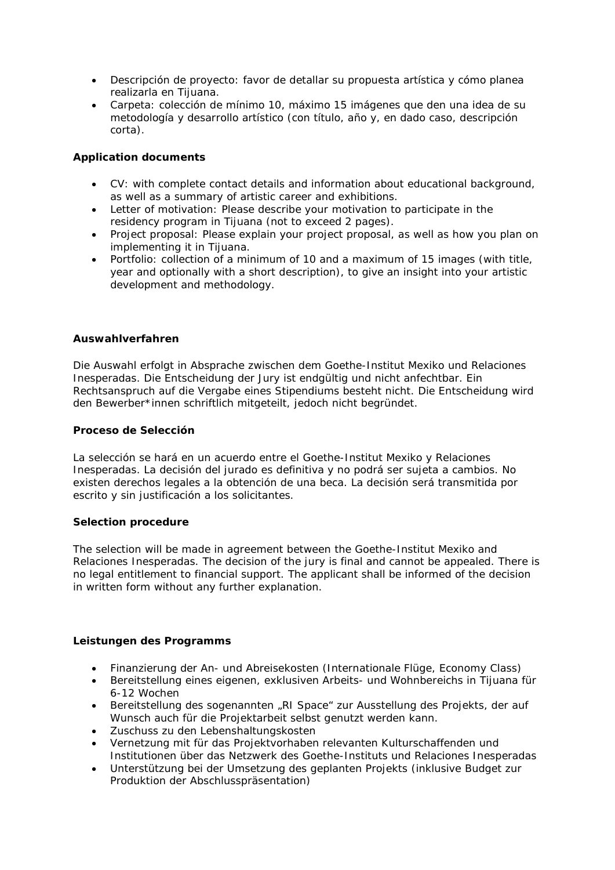- Descripción de proyecto: favor de detallar su propuesta artística y cómo planea realizarla en Tijuana.
- Carpeta: colección de mínimo 10, máximo 15 imágenes que den una idea de su metodología y desarrollo artístico (con título, año y, en dado caso, descripción corta).

## **Application documents**

- CV: with complete contact details and information about educational background, as well as a summary of artistic career and exhibitions.
- Letter of motivation: Please describe your motivation to participate in the residency program in Tijuana (not to exceed 2 pages).
- Project proposal: Please explain your project proposal, as well as how you plan on implementing it in Tijuana.
- Portfolio: collection of a minimum of 10 and a maximum of 15 images (with title, year and optionally with a short description), to give an insight into your artistic development and methodology.

## **Auswahlverfahren**

Die Auswahl erfolgt in Absprache zwischen dem Goethe-Institut Mexiko und *Relaciones Inesperadas*. Die Entscheidung der Jury ist endgültig und nicht anfechtbar. Ein Rechtsanspruch auf die Vergabe eines Stipendiums besteht nicht. Die Entscheidung wird den Bewerber\*innen schriftlich mitgeteilt, jedoch nicht begründet.

## **Proceso de Selección**

La selección se hará en un acuerdo entre el Goethe-Institut Mexiko y *Relaciones Inesperadas*. La decisión del jurado es definitiva y no podrá ser sujeta a cambios. No existen derechos legales a la obtención de una beca. La decisión será transmitida por escrito y sin justificación a los solicitantes.

## **Selection procedure**

The selection will be made in agreement between the Goethe-Institut Mexiko and *Relaciones Inesperadas*. The decision of the jury is final and cannot be appealed. There is no legal entitlement to financial support. The applicant shall be informed of the decision in written form without any further explanation.

## **Leistungen des Programms**

- Finanzierung der An- und Abreisekosten (Internationale Flüge, Economy Class)
- Bereitstellung eines eigenen, exklusiven Arbeits- und Wohnbereichs in Tijuana für 6-12 Wochen
- Bereitstellung des sogenannten "RI Space" zur Ausstellung des Projekts, der auf Wunsch auch für die Projektarbeit selbst genutzt werden kann.
- Zuschuss zu den Lebenshaltungskosten
- Vernetzung mit für das Projektvorhaben relevanten Kulturschaffenden und Institutionen über das Netzwerk des Goethe-Instituts und *Relaciones Inesperadas*
- Unterstützung bei der Umsetzung des geplanten Projekts (inklusive Budget zur Produktion der Abschlusspräsentation)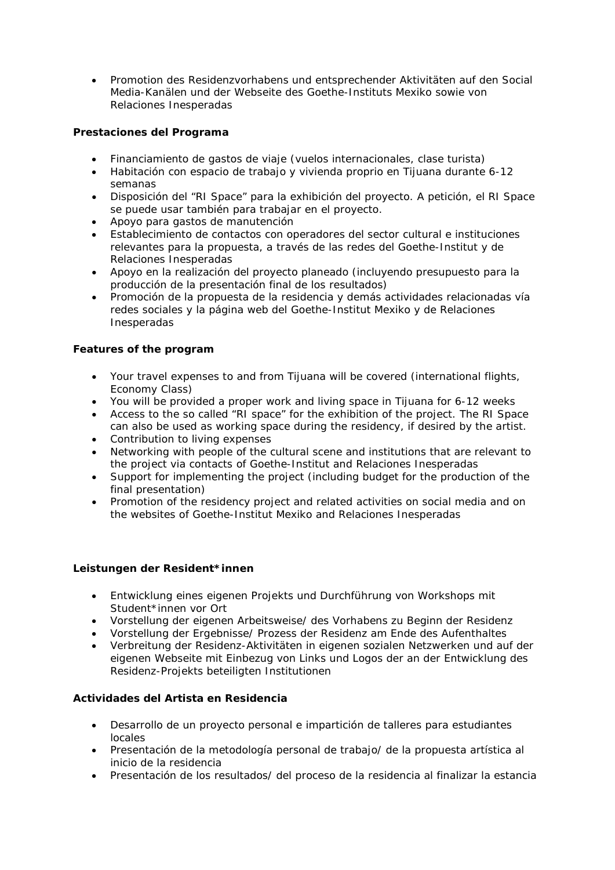• Promotion des Residenzvorhabens und entsprechender Aktivitäten auf den Social Media-Kanälen und der Webseite des Goethe-Instituts Mexiko sowie von *Relaciones Inesperadas*

# **Prestaciones del Programa**

- Financiamiento de gastos de viaje (vuelos internacionales, clase turista)
- Habitación con espacio de trabajo y vivienda proprio en Tijuana durante 6-12 semanas
- Disposición del "RI Space" para la exhibición del proyecto. A petición, el RI Space se puede usar también para trabajar en el proyecto.
- Apoyo para gastos de manutención
- Establecimiento de contactos con operadores del sector cultural e instituciones relevantes para la propuesta, a través de las redes del Goethe-Institut y de *Relaciones Inesperadas*
- Apoyo en la realización del proyecto planeado (incluyendo presupuesto para la producción de la presentación final de los resultados)
- Promoción de la propuesta de la residencia y demás actividades relacionadas vía redes sociales y la página web del Goethe-Institut Mexiko y de *Relaciones Inesperadas*

## **Features of the program**

- Your travel expenses to and from Tijuana will be covered (international flights, Economy Class)
- You will be provided a proper work and living space in Tijuana for 6-12 weeks
- Access to the so called "RI space" for the exhibition of the project. The RI Space can also be used as working space during the residency, if desired by the artist.
- Contribution to living expenses
- Networking with people of the cultural scene and institutions that are relevant to the project via contacts of Goethe-Institut and *Relaciones Inesperadas*
- Support for implementing the project (including budget for the production of the final presentation)
- Promotion of the residency project and related activities on social media and on the websites of Goethe-Institut Mexiko and *Relaciones Inesperadas*

## **Leistungen der Resident\*innen**

- Entwicklung eines eigenen Projekts und Durchführung von Workshops mit Student\*innen vor Ort
- Vorstellung der eigenen Arbeitsweise/ des Vorhabens zu Beginn der Residenz
- Vorstellung der Ergebnisse/ Prozess der Residenz am Ende des Aufenthaltes
- Verbreitung der Residenz-Aktivitäten in eigenen sozialen Netzwerken und auf der eigenen Webseite mit Einbezug von Links und Logos der an der Entwicklung des Residenz-Projekts beteiligten Institutionen

## **Actividades del Artista en Residencia**

- Desarrollo de un proyecto personal e impartición de talleres para estudiantes locales
- Presentación de la metodología personal de trabajo/ de la propuesta artística al inicio de la residencia
- Presentación de los resultados/ del proceso de la residencia al finalizar la estancia